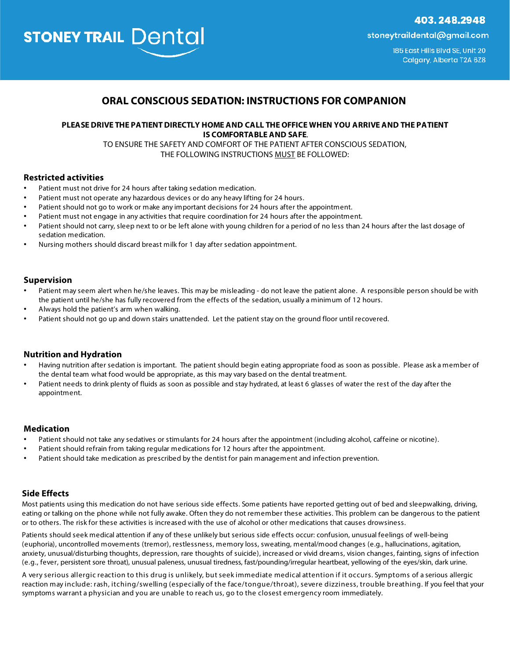403.248.2948

**STONEY TRAIL Dental** 

stoneytraildental@gmail.com

185 East Hills Blvd SE, Unit 20 Calgary, Alberta T2A 6Z8

# **ORAL CONSCIOUS SEDATION: INSTRUCTIONS FOR COMPANION**

# **PLEASE DRIVE THE PATIENT DIRECTLY HOME AND CALL THE OFFICE WHEN YOU ARRIVE AND THE PATIENT IS COMFORTABLE AND SAFE**.

TO ENSURE THE SAFETY AND COMFORT OF THE PATIENT AFTER CONSCIOUS SEDATION, THE FOLLOWING INSTRUCTIONS MUST BE FOLLOWED:

### **Restricted activities**

- Patient must not drive for 24 hours after taking sedation medication.
- Patient must not operate any hazardous devices or do any heavy lifting for 24 hours.
- Patient should not go to work or make any important decisions for 24 hours after the appointment.
- Patient must not engage in any activities that require coordination for 24 hours after the appointment.
- Patient should not carry, sleep next to or be left alone with young children for a period of no less than 24 hours after the last dosage of sedation medication.
- Nursing mothers should discard breast milk for 1 day after sedation appointment.

### **Supervision**

- Patient may seem alert when he/she leaves. This may be misleading do not leave the patient alone. A responsible person should be with the patient until he/she has fully recovered from the effects of the sedation, usually a minimum of 12 hours.
- Always hold the patient's arm when walking.
- Patient should not go up and down stairs unattended. Let the patient stay on the ground floor until recovered.

## **Nutrition and Hydration**

- Having nutrition after sedation is important. The patient should begin eating appropriate food as soon as possible. Please ask a member of the dental team what food would be appropriate, as this may vary based on the dental treatment.
- Patient needs to drink plenty of fluids as soon as possible and stay hydrated, at least 6 glasses of water the rest of the day after the appointment.

#### **Medication**

- Patient should not take any sedatives or stimulants for 24 hours after the appointment (including alcohol, caffeine or nicotine).
- Patient should refrain from taking regular medications for 12 hours after the appointment.
- Patient should take medication as prescribed by the dentist for pain management and infection prevention.

#### **Side Effects**

Most patients using this medication do not have serious side effects. Some patients have reported getting out of bed and sleepwalking, driving, eating or talking on the phone while not fully awake. Often they do not remember these activities. This problem can be dangerous to the patient or to others. The risk for these activities is increased with the use of alcohol or other medications that causes drowsiness.

Patients should seek medical attention if any of these unlikely but serious side effects occur: confusion, unusual feelings of well-being (euphoria), uncontrolled movements (tremor), restlessness, memory loss, sweating, mental/mood changes (e.g., hallucinations, agitation, anxiety, unusual/disturbing thoughts, depression, rare thoughts of suicide), increased or vivid dreams, vision changes, fainting, signs of infection (e.g., fever, persistent sore throat), unusual paleness, unusual tiredness, fast/pounding/irregular heartbeat, yellowing of the eyes/skin, dark urine.

A very serious allergic reaction to this drug is unlikely, but seek immediate medical attention if it occurs. Symptoms of a serious allergic reaction may include: rash, itching/swelling (especially of the face/tongue/throat), severe dizziness, trouble breathing. If you feel that your symptoms warrant a physician and you are unable to reach us, go to the closest emergency room immediately.